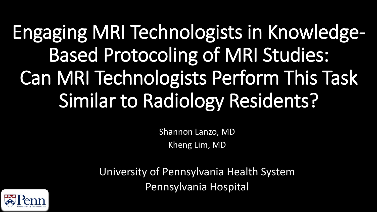## Engaging MRI Technologists in Knowledge-Based Protocoling of MRI Studies: Can MRI Technologists Perform This Task Similar to Radiology Residents?

Shannon Lanzo, MD Kheng Lim, MD

University of Pennsylvania Health System Pennsylvania Hospital

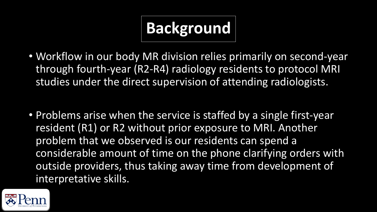### **Background**

- Workflow in our body MR division relies primarily on second-year through fourth-year (R2-R4) radiology residents to protocol MRI studies under the direct supervision of attending radiologists.
- Problems arise when the service is staffed by a single first-year resident (R1) or R2 without prior exposure to MRI. Another problem that we observed is our residents can spend a considerable amount of time on the phone clarifying orders with outside providers, thus taking away time from development of interpretative skills.

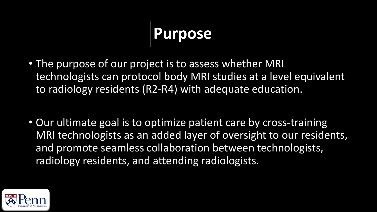# **Purpose**

- The purpose of our project is to assess whether MRI technologists can protocol body MRI studies at a level equivalent to radiology residents (R2-R4) with adequate education.
- Our ultimate goal is to optimize patient care by cross-training MRI technologists as an added layer of oversight to our residents, and promote seamless collaboration between technologists, radiology residents, and attending radiologists.

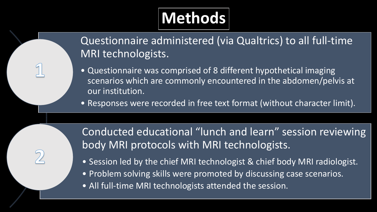### **Methods**

Questionnaire administered (via Qualtrics) to all full-time MRI technologists.

- Questionnaire was comprised of 8 different hypothetical imaging scenarios which are commonly encountered in the abdomen/pelvis at our institution.
- Responses were recorded in free text format (without character limit).

Conducted educational "lunch and learn" session reviewing body MRI protocols with MRI technologists.

- Session led by the chief MRI technologist & chief body MRI radiologist.
- Problem solving skills were promoted by discussing case scenarios.
- All full-time MRI technologists attended the session.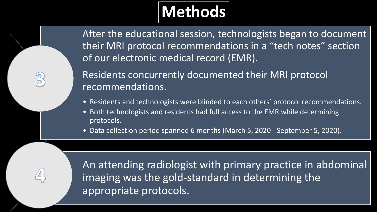### **Methods**

After the educational session, technologists began to document their MRI protocol recommendations in a "tech notes" section of our electronic medical record (EMR).

Residents concurrently documented their MRI protocol recommendations.

- Residents and technologists were blinded to each others' protocol recommendations.
- Both technologists and residents had full access to the EMR while determining protocols.
- Data collection period spanned 6 months (March 5, 2020 September 5, 2020).

An attending radiologist with primary practice in abdominal imaging was the gold-standard in determining the appropriate protocols.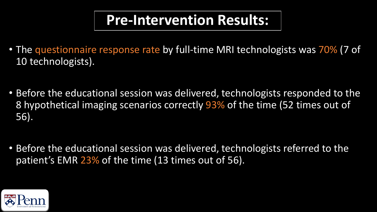#### **Pre-Intervention Results:**

- The questionnaire response rate by full-time MRI technologists was 70% (7 of 10 technologists).
- Before the educational session was delivered, technologists responded to the 8 hypothetical imaging scenarios correctly 93% of the time (52 times out of 56).
- Before the educational session was delivered, technologists referred to the patient's EMR 23% of the time (13 times out of 56).

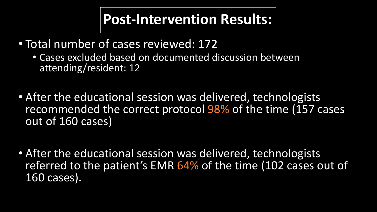#### **Post-Intervention Results:**

- Total number of cases reviewed: 172
	- Cases excluded based on documented discussion between attending/resident: 12
- After the educational session was delivered, technologists recommended the correct protocol 98% of the time (157 cases out of 160 cases)
- After the educational session was delivered, technologists referred to the patient's EMR 64% of the time (102 cases out of 160 cases).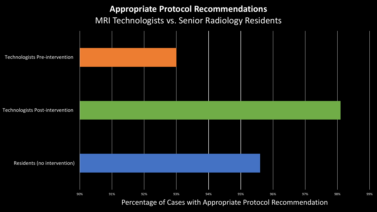**Appropriate Protocol Recommendations**  MRI Technologists vs. Senior Radiology Residents

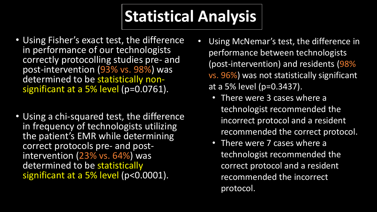#### **Statistical Analysis**

- Using Fisher's exact test, the difference in performance of our technologists correctly protocolling studies pre- and post-intervention (93% vs. 98%) was<br>determined to be statistically nonsignificant at a 5% level (p=0.0761).
- Using a chi-squared test, the difference in frequency of technologists utilizing the patient's EMR while determining<br>correct protocols pre- and postintervention (23% vs. 64%) was determined to be statistically significant at a 5% level (p<0.0001).
- Using McNemar's test, the difference in performance between technologists (post-intervention) and residents (98% vs. 96%) was not statistically significant at a 5% level (p=0.3437).
	- There were 3 cases where a technologist recommended the incorrect protocol and a resident recommended the correct protocol.
	- There were 7 cases where a technologist recommended the correct protocol and a resident recommended the incorrect protocol.